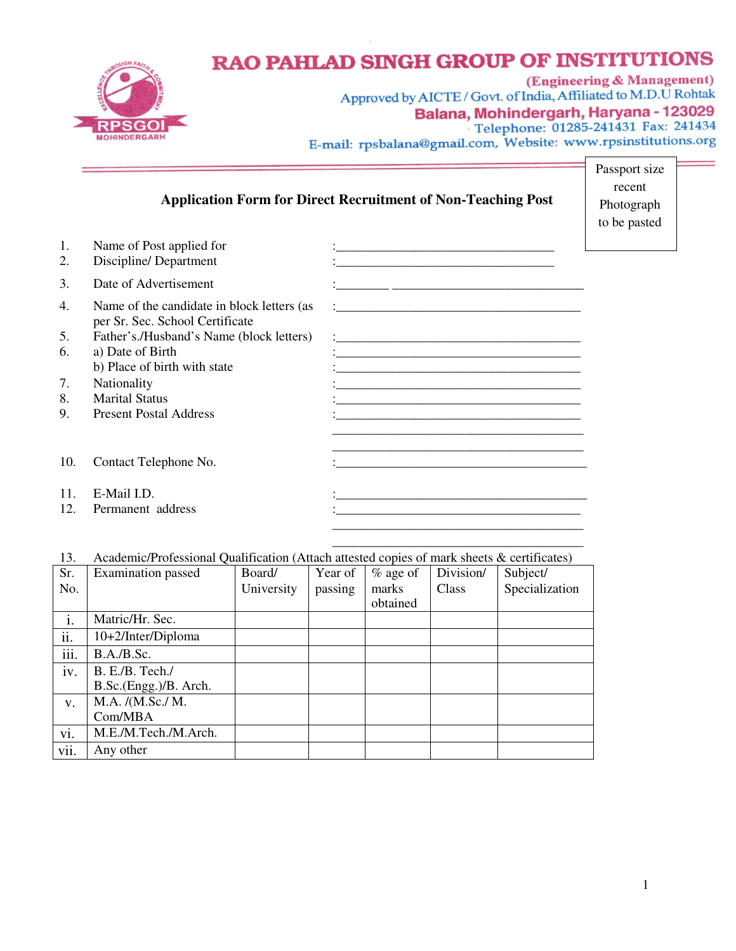

12. Permanent address

## $\overline{\phantom{a}}$  , and the contract of the contract of the contract of the contract of the contract of the contract of the contract of the contract of the contract of the contract of the contract of the contract of the contrac 13. Academic/Professional Qualification (Attach attested copies of mark sheets & certificates)

 $\overline{\phantom{a}}$  , and the contract of the contract of the contract of the contract of the contract of the contract of the contract of the contract of the contract of the contract of the contract of the contract of the contrac

| Sr.  | Examination passed    | Board/     | Year of | $%$ age of | Division/ | Subject/       |
|------|-----------------------|------------|---------|------------|-----------|----------------|
| No.  |                       | University | passing | marks      | Class     | Specialization |
|      |                       |            |         | obtained   |           |                |
| i.   | Matric/Hr. Sec.       |            |         |            |           |                |
| ii.  | 10+2/Inter/Diploma    |            |         |            |           |                |
| iii. | B.A./B.Sc.            |            |         |            |           |                |
| iv.  | B. E/B. Tech. /       |            |         |            |           |                |
|      | B.Sc.(Engg.)/B. Arch. |            |         |            |           |                |
| V.   | M.A. /(M.Sc./ M.      |            |         |            |           |                |
|      | Com/MBA               |            |         |            |           |                |
| vi.  | M.E./M.Tech./M.Arch.  |            |         |            |           |                |
| vii. | Any other             |            |         |            |           |                |